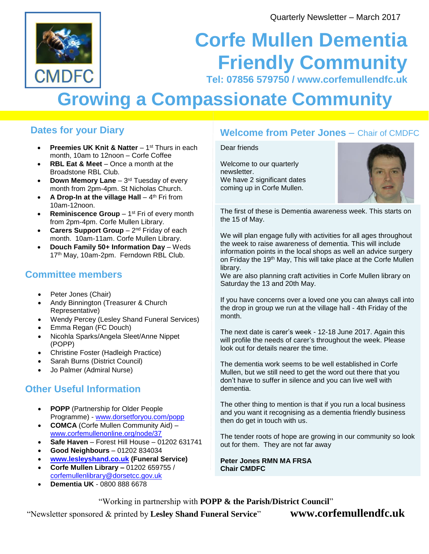

## **Corfe Mullen Dementia Friendly Community Tel: 07856 579750 / www.corfemullendfc.uk**

# **Growing a Compassionate Community**

#### **Dates for your Diary**

- **Preemies UK Knit & Natter** 1<sup>st</sup> Thurs in each month, 10am to 12noon – Corfe Coffee
- **RBL Eat & Meet Once a month at the** Broadstone RBL Club.
- **Down Memory Lane** 3<sup>rd</sup> Tuesday of every month from 2pm-4pm. St Nicholas Church.
- **A Drop-In at the village Hall** 4<sup>th</sup> Fri from 10am-12noon.
- **Reminiscence Group** 1<sup>st</sup> Fri of every month from 2pm-4pm. Corfe Mullen Library.
- **Carers Support Group** 2<sup>nd</sup> Friday of each month. 10am-11am. Corfe Mullen Library.
- **Douch Family 50+ Information Day** Weds 17<sup>th</sup> May, 10am-2pm. Ferndown RBL Club.

#### **Committee members**

- Peter Jones (Chair)
- Andy Binnington (Treasurer & Church Representative)
- Wendy Percey (Lesley Shand Funeral Services)
- Emma Regan (FC Douch)
- Nicohla Sparks/Angela Sleet/Anne Nippet (POPP)
- Christine Foster (Hadleigh Practice)
- Sarah Burns (District Council)
- Jo Palmer (Admiral Nurse)

## **Other Useful Information**

- **POPP** (Partnership for Older People Programme) - [www.dorsetforyou.com/popp](http://www.dorsetforyou.com/popp)
- **COMCA** (Corfe Mullen Community Aid) [www.corfemullenonline.org/node/37](http://www.corfemullenonline.org/node/37)
- **Safe Haven** Forest Hill House 01202 631741
- **Good Neighbours**  01202 834034
- **[www.lesleyshand.co.uk](http://www.lesleyshand.co.uk/) (Funeral Service)**
- **Corfe Mullen Library –** 01202 659755 / [corfemullenlibrary@dorsetcc.gov.uk](mailto:corfemullenlibrary@dorsetcc.gov.uk)
- **Dementia UK**  0800 888 6678

## **Welcome from Peter Jones** – Chair of CMDFC

#### Dear friends

Welcome to our quarterly newsletter. We have 2 significant dates coming up in Corfe Mullen.



The first of these is Dementia awareness week. This starts on the 15 of May.

We will plan engage fully with activities for all ages throughout the week to raise awareness of dementia. This will include information points in the local shops as well an advice surgery on Friday the 19<sup>th</sup> May, This will take place at the Corfe Mullen library.

We are also planning craft activities in Corfe Mullen library on Saturday the 13 and 20th May.

If you have concerns over a loved one you can always call into the drop in group we run at the village hall - 4th Friday of the month.

The next date is carer's week - 12-18 June 2017. Again this will profile the needs of carer's throughout the week. Please look out for details nearer the time.

The dementia work seems to be well established in Corfe Mullen, but we still need to get the word out there that you don't have to suffer in silence and you can live well with dementia.

The other thing to mention is that if you run a local business and you want it recognising as a dementia friendly business then do get in touch with us.

The tender roots of hope are growing in our community so look out for them. They are not far away

**Peter Jones RMN MA FRSA Chair CMDFC** 

"Working in partnership with **POPP & the Parish/District Council**"

"Newsletter sponsored & printed by **Lesley Shand Funeral Service**" **www.corfemullendfc.uk**